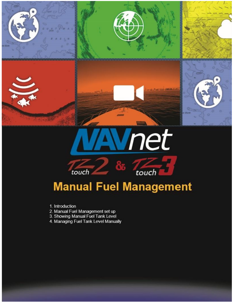



# **Manual Fuel Management**

touch

- 1. Introduction
- 

touch

- 2. Manual Fuel Management set up<br>3. Showing Manual Fuel Tank Level
- 4. Managing Fuel Tank Level Manually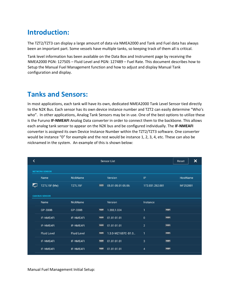### **Introduction:**

The TZT2/TZT3 can display a large amount of data via NMEA2000 and Tank and Fuel data has always been an important part. Some vessels have multiple tanks, so keeping track of them all is critical.

Tank level information has been available on the Data Box and Instrument page by receiving the NMEA2000 PGN: 127505 – Fluid Level and PGN: 127489 – Fuel Rate. This document describes how to Setup the Manual Fuel Management function and how to adjust and display Manual Tank configuration and display.

## **Tanks and Sensors:**

In most applications, each tank will have its own, dedicated NMEA2000 Tank Level Sensor tied directly to the N2K Bus. Each sensor has its own device instance number and TZT2 can easily determine "Who's who". In other applications, Analog Tank Sensors may be in use. One of the best options to utilize these is the Furuno **IF-NMEAFI** Analog Data converter in order to connect them to the backbone. This allows each analog tank sensor to appear on the N2K bus and be configured individually. The **IF-NMEAFI** converter is assigned its own Device Instance Number within the TZT2/TZT3 software. One converter would be instance "0" for example and the rest would be instance 1, 2, 3, 4, etc. These can also be nicknamed in the system. An example of this is shown below:

|                    | <b>Sensor List</b>                             |                       |                    |                 |  | Reset                                                                                            | $\boldsymbol{\mathsf{x}}$ |
|--------------------|------------------------------------------------|-----------------------|--------------------|-----------------|--|--------------------------------------------------------------------------------------------------|---------------------------|
|                    |                                                |                       |                    |                 |  |                                                                                                  |                           |
| Name               | NickName                                       |                       | Version            | IP              |  |                                                                                                  |                           |
| TZTL15F (Me)       | TZTL15F                                        | $\frac{1}{2}$         | 05.01:05.01:05.06: | 172.031.252.001 |  |                                                                                                  |                           |
|                    |                                                |                       |                    |                 |  |                                                                                                  |                           |
| Name               | NickName                                       |                       | Version            | Instance        |  |                                                                                                  |                           |
| GP-330B            | GP-330B                                        | <b>Francis</b>        | 1.203, 1.024       | T               |  |                                                                                                  |                           |
| IF-NMEAFI          | IF-NMEAFI                                      | <b>EXISTEN</b>        | 01.01:01.01        | $\overline{0}$  |  |                                                                                                  |                           |
| <b>IF-NMEAFI</b>   | <b>IF-NMEAFI</b>                               | <b>Figure</b>         | 01.01:01.01        | $\overline{2}$  |  |                                                                                                  |                           |
| <b>Fluid Level</b> | <b>Fluid Level</b>                             | $\boxed{\phantom{a}}$ | 1.3.0-MZ1657C-B1.0 | $\mathbf{1}$    |  |                                                                                                  |                           |
| IF-NMEAFI          | <b>IF-NMEAFI</b>                               | <b>Format</b>         | 01.01:01.01        | 3               |  |                                                                                                  |                           |
| <b>IF-NMEAFI</b>   | <b>IF-NMEAFI</b>                               | <b>Figures</b>        | 01.01:01.01        | $\overline{4}$  |  |                                                                                                  |                           |
|                    | <b>NETWORK SENSOR</b><br><b>CAN BUS SENSOR</b> |                       |                    |                 |  | $\boxed{\phantom{a}}$<br>$\boxed{\ldots}$<br>[<br><b>Figure</b><br>$\boxed{\phantom{a}}$<br>[mm] | HostName<br>MF252001      |

Manual Fuel Management Initial Setup: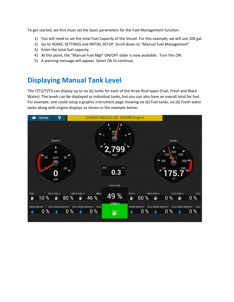To get started, we first must set the basic parameters for the Fuel Management function.

- 1) You will need to set the total Fuel Capacity of the Vessel. For this example, we will use 100 gal.
- 2) Go to HOME, SETTINGS and INITIAL SETUP. Scroll down to "Manual Fuel Management"
- 3) Enter the total fuel capacity.
- 4) At this point, the "Manual Fuel Mgt" ON/OFF slider is now available. Turn this ON.
- 5) A warning message will appear. Select OK to continue.

### **Displaying Manual Tank Level**:

The TZT2/TZT3 can display up to six (6) tanks for each of the three fluid types (Fuel, Fresh and Black Water). The levels can be displayed as individual tanks, but you can also have an overall total for fuel. For example, one could setup a graphic instrument page showing six (6) Fuel tanks, six (6) Fresh water tanks along with engine displays as shown in the example below:

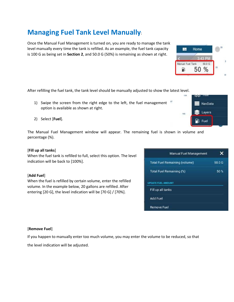## **Managing Fuel Tank Level Manually**:

Once the Manual Fuel Management is turned on, you are ready to manage the tank level manually every time the tank is refilled. As an example, the fuel tank capacity is 100 G as being set in **Section 2**, and 50.0 G (50%) is remaining as shown at right.

After refilling the fuel tank, the tank level should be manually adjusted to show the latest level.

- 1) Swipe the screen from the right edge to the left, the fuel management option is available as shown at right.
- 2) Select [**Fuel**].

The Manual Fuel Management window will appear. The remaining fuel is shown in volume and percentage (%).

#### [**Fill up all tanks**]

When the fuel tank is refilled to full, select this option. The level indication will be back to [100%].

#### [**Add Fuel**]

When the fuel is refilled by certain volume, enter the refilled volume. In the example below, 20 gallons are refilled. After entering [20 G], the level indication will be [70 G] / [70%].

| <b>Manual Fuel Management</b>        |        |
|--------------------------------------|--------|
| <b>Total Fuel Remaining (volume)</b> | 50.0 G |
| <b>Total Fuel Remaining (%)</b>      | 50%    |
| UPDATE FUEL AMOUNT                   |        |
| Fill up all tanks<br><b>Add Fuel</b> |        |
| <b>Remove Fuel</b>                   |        |

#### [**Remove Fuel**]

If you happen to manually enter too much volume, you may enter the volume to be reduced, so that the level indication will be adjusted.



3:43 PM

Home

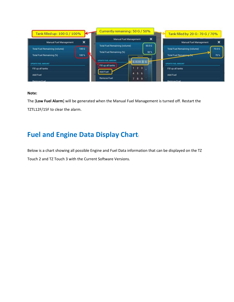

#### **Note:**

The [**Low Fuel Alarm**] will be generated when the Manual Fuel Management is turned off. Restart the TZTL12F/15F to clear the alarm.

### **Fuel and Engine Data Display Chart**:

Below is a chart showing all possible Engine and Fuel Data information that can be displayed on the TZ Touch 2 and TZ Touch 3 with the Current Software Versions.